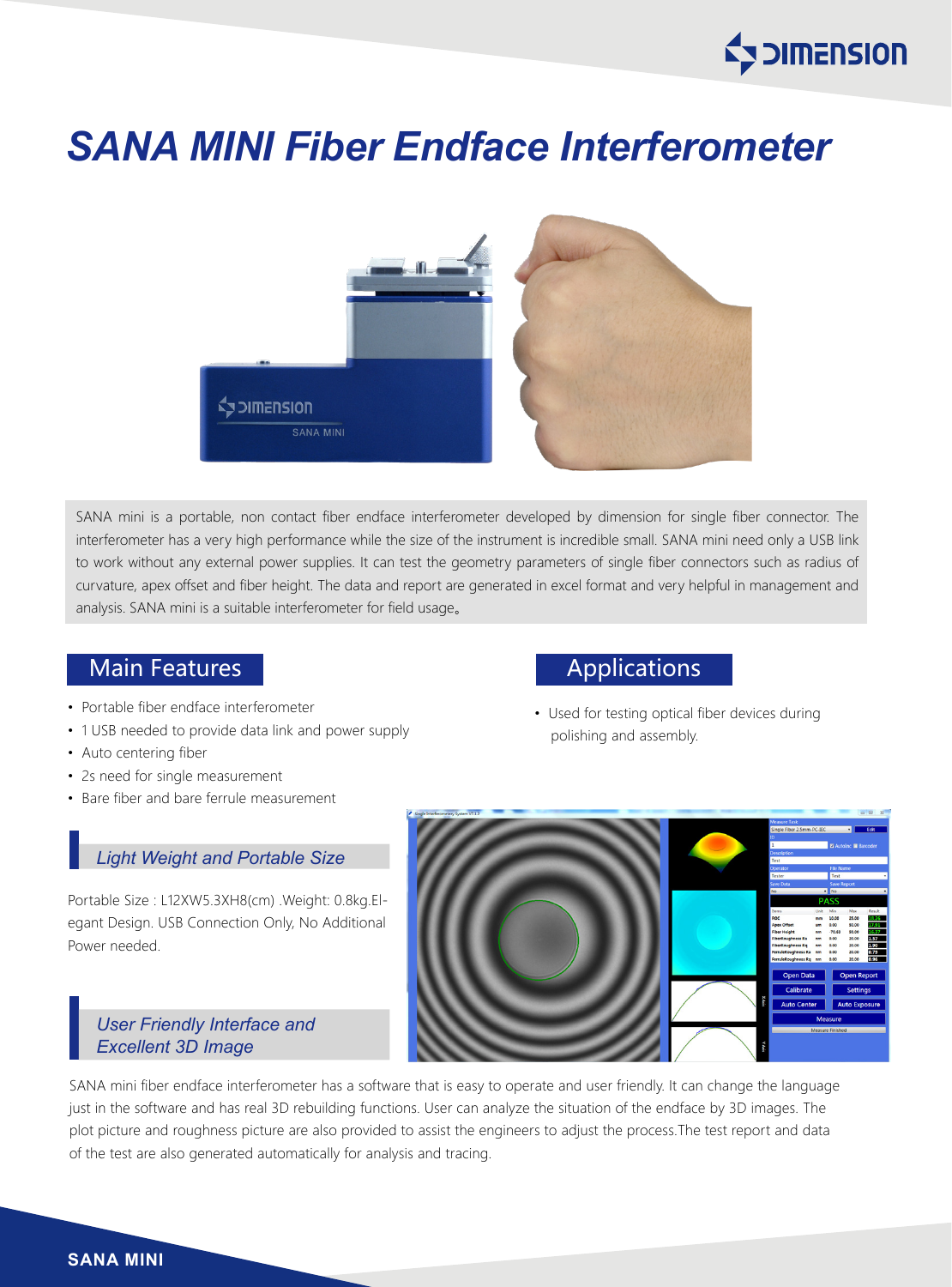

# *SANA MINI Fiber Endface Interferometer*



SANA mini is a portable, non contact fiber endface interferometer developed by dimension for single fiber connector. The interferometer has a very high performance while the size of the instrument is incredible small. SANA mini need only a USB link to work without any external power supplies. It can test the geometry parameters of single fiber connectors such as radius of curvature, apex offset and fiber height. The data and report are generated in excel format and very helpful in management and analysis. SANA mini is a suitable interferometer for field usage。

### Main Features **Applications** Main Features

- Portable fiber endface interferometer
- 1 USB needed to provide data link and power supply
- Auto centering fiber
- 2s need for single measurement
- Bare fiber and bare ferrule measurement

#### *Light Weight and Portable Size*

Portable Size : L12XW5.3XH8(cm) .Weight: 0.8kg.Elegant Design. USB Connection Only, No Additional Power needed.

#### *User Friendly Interface and Excellent 3D Image*

• Used for testing optical fiber devices during polishing and assembly.



SANA mini fiber endface interferometer has a software that is easy to operate and user friendly. It can change the language just in the software and has real 3D rebuilding functions. User can analyze the situation of the endface by 3D images. The plot picture and roughness picture are also provided to assist the engineers to adjust the process.The test report and data of the test are also generated automatically for analysis and tracing.